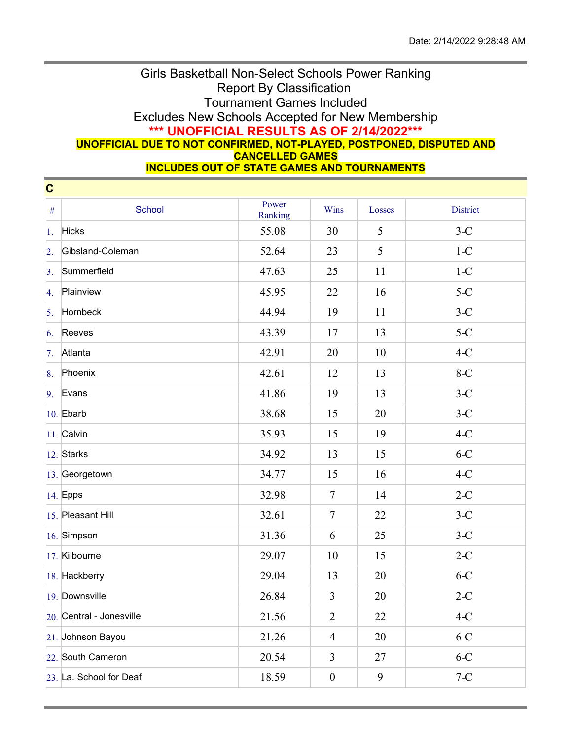## Girls Basketball Non-Select Schools Power Ranking Report By Classification Tournament Games Included Excludes New Schools Accepted for New Membership **\*\*\* UNOFFICIAL RESULTS AS OF 2/14/2022\*\*\* UNOFFICIAL DUE TO NOT CONFIRMED, NOT-PLAYED, POSTPONED, DISPUTED AND CANCELLED GAMES**

**INCLUDES OUT OF STATE GAMES AND TOURNAMENTS**

| $\mathbf c$      |                          |                  |                  |        |                 |
|------------------|--------------------------|------------------|------------------|--------|-----------------|
| $\#$             | School                   | Power<br>Ranking | Wins             | Losses | <b>District</b> |
| 1.               | <b>Hicks</b>             | 55.08            | 30               | 5      | $3-C$           |
| $\overline{2}$ . | Gibsland-Coleman         | 52.64            | 23               | 5      | $1-C$           |
| $\overline{3}$ . | Summerfield              | 47.63            | 25               | 11     | $1-C$           |
| 4.               | Plainview                | 45.95            | 22               | 16     | $5-C$           |
| 5.               | Hornbeck                 | 44.94            | 19               | 11     | $3-C$           |
| 6.               | Reeves                   | 43.39            | 17               | 13     | $5-C$           |
| 7.               | Atlanta                  | 42.91            | 20               | 10     | $4-C$           |
| 8.               | Phoenix                  | 42.61            | 12               | 13     | $8-C$           |
| 9.               | Evans                    | 41.86            | 19               | 13     | $3-C$           |
|                  | $10.$ Ebarb              | 38.68            | 15               | 20     | $3-C$           |
|                  | $11.$ Calvin             | 35.93            | 15               | 19     | $4-C$           |
|                  | $ 12.$ Starks            | 34.92            | 13               | 15     | $6-C$           |
|                  | 13. Georgetown           | 34.77            | 15               | 16     | $4-C$           |
|                  | 14. Epps                 | 32.98            | $\tau$           | 14     | $2-C$           |
|                  | 15. Pleasant Hill        | 32.61            | $\tau$           | 22     | $3-C$           |
|                  | 16. Simpson              | 31.36            | 6                | 25     | $3-C$           |
|                  | 17. Kilbourne            | 29.07            | 10               | 15     | $2-C$           |
|                  | 18. Hackberry            | 29.04            | 13               | 20     | $6-C$           |
|                  | 19. Downsville           | 26.84            | $\overline{3}$   | 20     | $2-C$           |
|                  | 20. Central - Jonesville | 21.56            | $\overline{2}$   | 22     | $4-C$           |
|                  | 21. Johnson Bayou        | 21.26            | $\overline{4}$   | 20     | $6-C$           |
|                  | 22. South Cameron        | 20.54            | $\overline{3}$   | 27     | $6-C$           |
|                  | 23. La. School for Deaf  | 18.59            | $\boldsymbol{0}$ | 9      | $7-C$           |